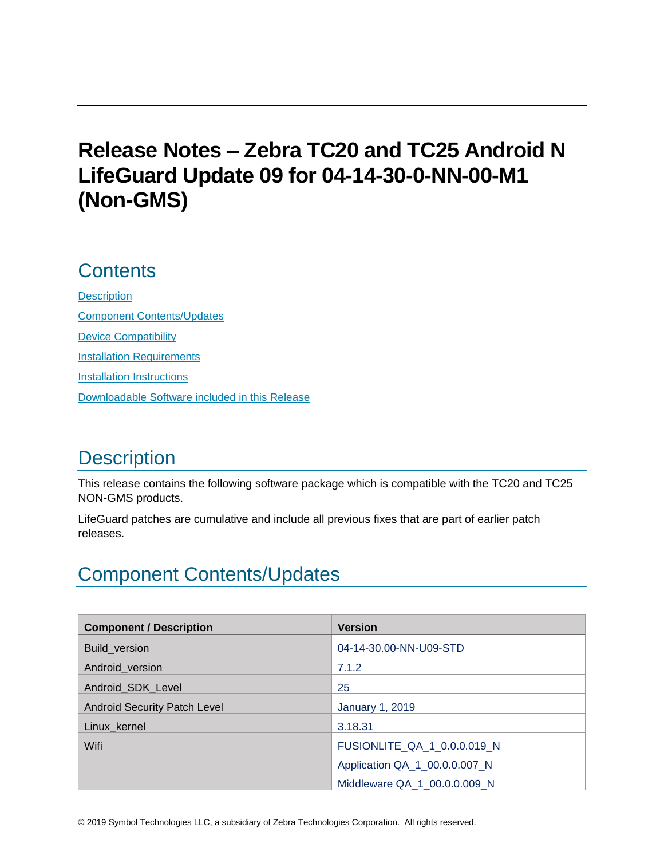# **Release Notes – Zebra TC20 and TC25 Android N LifeGuard Update 09 for 04-14-30-0-NN-00-M1 (Non-GMS)**

# **Contents**

**[Description](#page-0-0)** [Component Contents/Updates](#page-0-1) [Device Compatibility](#page-6-0) **[Installation Requirements](#page-6-1)** [Installation Instructions](#page-7-0) [Downloadable Software included in this Release](#page-9-0)

# <span id="page-0-0"></span>**Description**

This release contains the following software package which is compatible with the TC20 and TC25 NON-GMS products.

LifeGuard patches are cumulative and include all previous fixes that are part of earlier patch releases.

# <span id="page-0-1"></span>Component Contents/Updates

| <b>Component / Description</b>      | <b>Version</b>                |
|-------------------------------------|-------------------------------|
| Build_version                       | 04-14-30.00-NN-U09-STD        |
| Android_version                     | 7.1.2                         |
| Android SDK Level                   | 25                            |
| <b>Android Security Patch Level</b> | <b>January 1, 2019</b>        |
| Linux_kernel                        | 3.18.31                       |
| Wifi                                | FUSIONLITE_QA_1_0.0.0.019_N   |
|                                     | Application QA_1_00.0.0.007_N |
|                                     | Middleware QA 1 00.0.0.009 N  |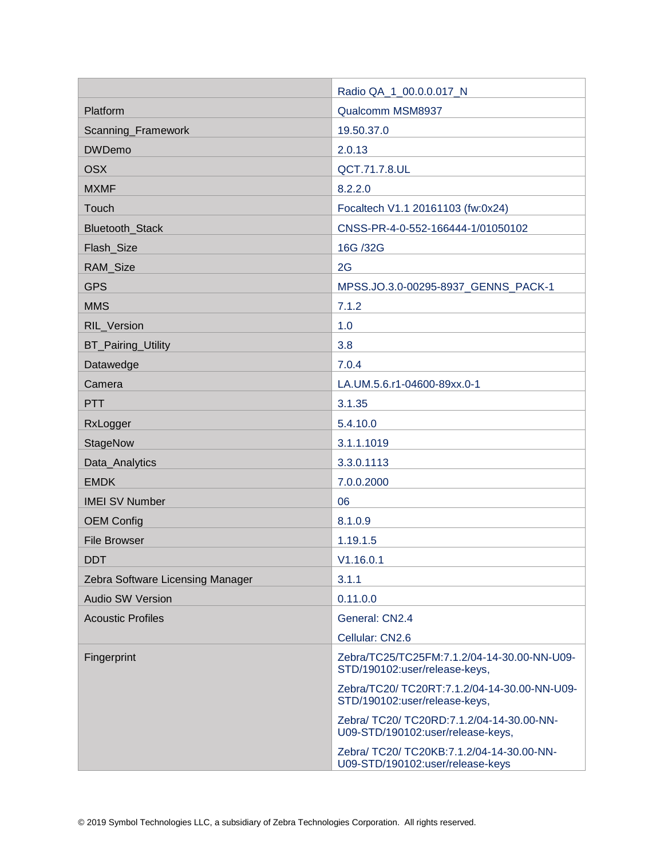|                                  | Radio QA_1_00.0.0.017_N                                                        |
|----------------------------------|--------------------------------------------------------------------------------|
| Platform                         | Qualcomm MSM8937                                                               |
| Scanning_Framework               | 19.50.37.0                                                                     |
| <b>DWDemo</b>                    | 2.0.13                                                                         |
| <b>OSX</b>                       | QCT.71.7.8.UL                                                                  |
| <b>MXMF</b>                      | 8.2.2.0                                                                        |
| Touch                            | Focaltech V1.1 20161103 (fw:0x24)                                              |
| <b>Bluetooth Stack</b>           | CNSS-PR-4-0-552-166444-1/01050102                                              |
| Flash_Size                       | 16G /32G                                                                       |
| RAM_Size                         | 2G                                                                             |
| <b>GPS</b>                       | MPSS.JO.3.0-00295-8937_GENNS_PACK-1                                            |
| <b>MMS</b>                       | 7.1.2                                                                          |
| RIL_Version                      | 1.0                                                                            |
| BT_Pairing_Utility               | 3.8                                                                            |
| Datawedge                        | 7.0.4                                                                          |
| Camera                           | LA.UM.5.6.r1-04600-89xx.0-1                                                    |
| <b>PTT</b>                       | 3.1.35                                                                         |
| RxLogger                         | 5.4.10.0                                                                       |
| StageNow                         | 3.1.1.1019                                                                     |
| Data_Analytics                   | 3.3.0.1113                                                                     |
| <b>EMDK</b>                      | 7.0.0.2000                                                                     |
| <b>IMEI SV Number</b>            | 06                                                                             |
| <b>OEM Config</b>                | 8.1.0.9                                                                        |
| <b>File Browser</b>              | 1.19.1.5                                                                       |
| <b>DDT</b>                       | V1.16.0.1                                                                      |
| Zebra Software Licensing Manager | 3.1.1                                                                          |
| <b>Audio SW Version</b>          | 0.11.0.0                                                                       |
| <b>Acoustic Profiles</b>         | General: CN2.4                                                                 |
|                                  | Cellular: CN2.6                                                                |
| Fingerprint                      | Zebra/TC25/TC25FM:7.1.2/04-14-30.00-NN-U09-<br>STD/190102:user/release-keys,   |
|                                  | Zebra/TC20/ TC20RT:7.1.2/04-14-30.00-NN-U09-<br>STD/190102:user/release-keys,  |
|                                  | Zebra/ TC20/ TC20RD:7.1.2/04-14-30.00-NN-<br>U09-STD/190102:user/release-keys, |
|                                  | Zebra/ TC20/ TC20KB:7.1.2/04-14-30.00-NN-<br>U09-STD/190102:user/release-keys  |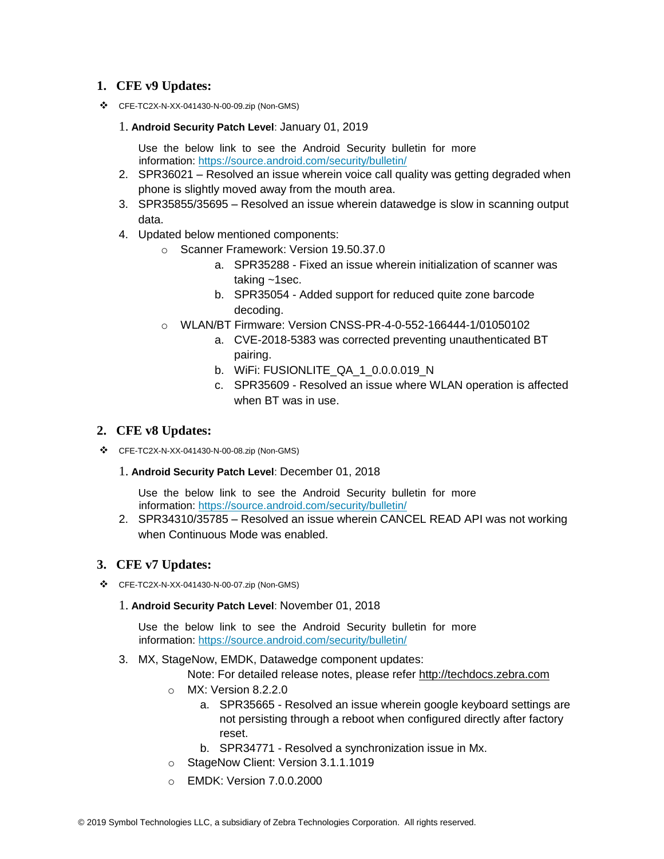### **1. CFE v9 Updates:**

❖ CFE-TC2X-N-XX-041430-N-00-09.zip (Non-GMS)

#### 1. **Android Security Patch Level**: January 01, 2019

Use the below link to see the Android Security bulletin for more information:<https://source.android.com/security/bulletin/>

- 2. SPR36021 Resolved an issue wherein voice call quality was getting degraded when phone is slightly moved away from the mouth area.
- 3. SPR35855/35695 Resolved an issue wherein datawedge is slow in scanning output data.
- 4. Updated below mentioned components:
	- o Scanner Framework: Version 19.50.37.0
		- a. SPR35288 Fixed an issue wherein initialization of scanner was taking ~1sec.
		- b. SPR35054 Added support for reduced quite zone barcode decoding.
	- o WLAN/BT Firmware: Version CNSS-PR-4-0-552-166444-1/01050102
		- a. CVE-2018-5383 was corrected preventing unauthenticated BT pairing.
		- b. WiFi: FUSIONLITE\_QA\_1\_0.0.0.019\_N
		- c. SPR35609 Resolved an issue where WLAN operation is affected when BT was in use.

### **2. CFE v8 Updates:**

- ❖ CFE-TC2X-N-XX-041430-N-00-08.zip (Non-GMS)
	- 1. **Android Security Patch Level**: December 01, 2018

Use the below link to see the Android Security bulletin for more information:<https://source.android.com/security/bulletin/>

2. SPR34310/35785 – Resolved an issue wherein CANCEL READ API was not working when Continuous Mode was enabled.

### **3. CFE v7 Updates:**

❖ CFE-TC2X-N-XX-041430-N-00-07.zip (Non-GMS)

#### 1. **Android Security Patch Level**: November 01, 2018

Use the below link to see the Android Security bulletin for more information:<https://source.android.com/security/bulletin/>

3. MX, StageNow, EMDK, Datawedge component updates:

Note: For detailed release notes, please refer [http://techdocs.zebra.com](http://techdocs.zebra.com/)

- o MX: Version 8.2.2.0
	- a. SPR35665 Resolved an issue wherein google keyboard settings are not persisting through a reboot when configured directly after factory reset.
	- b. SPR34771 Resolved a synchronization issue in Mx.
- o StageNow Client: Version 3.1.1.1019
- o EMDK: Version 7.0.0.2000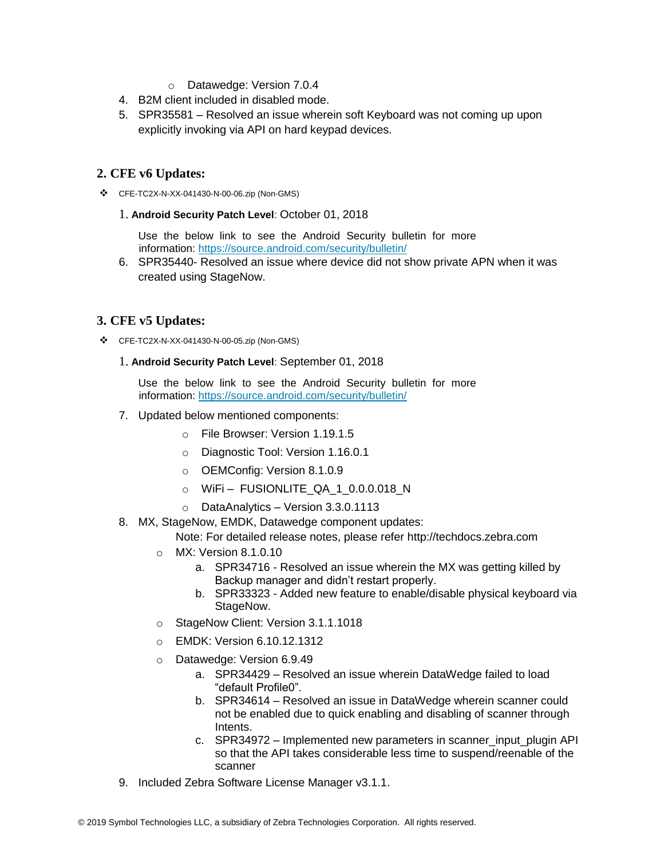- o Datawedge: Version 7.0.4
- 4. B2M client included in disabled mode.
- 5. SPR35581 Resolved an issue wherein soft Keyboard was not coming up upon explicitly invoking via API on hard keypad devices.

### **2. CFE v6 Updates:**

❖ CFE-TC2X-N-XX-041430-N-00-06.zip (Non-GMS)

#### 1. **Android Security Patch Level**: October 01, 2018

Use the below link to see the Android Security bulletin for more information:<https://source.android.com/security/bulletin/>

6. SPR35440- Resolved an issue where device did not show private APN when it was created using StageNow.

### **3. CFE v5 Updates:**

- ❖ CFE-TC2X-N-XX-041430-N-00-05.zip (Non-GMS)
	- 1. **Android Security Patch Level**: September 01, 2018

Use the below link to see the Android Security bulletin for more information:<https://source.android.com/security/bulletin/>

- 7. Updated below mentioned components:
	- o File Browser: Version 1.19.1.5
	- o Diagnostic Tool: Version 1.16.0.1
	- o OEMConfig: Version 8.1.0.9
	- o WiFi FUSIONLITE\_QA\_1\_0.0.0.018\_N
	- o DataAnalytics Version 3.3.0.1113
- 8. MX, StageNow, EMDK, Datawedge component updates:

Note: For detailed release notes, please refer [http://techdocs.zebra.com](http://techdocs.zebra.com/)

- o MX: Version 8.1.0.10
	- a. SPR34716 Resolved an issue wherein the MX was getting killed by Backup manager and didn't restart properly.
	- b. SPR33323 Added new feature to enable/disable physical keyboard via StageNow.
- o StageNow Client: Version 3.1.1.1018
- o EMDK: Version 6.10.12.1312
- o Datawedge: Version 6.9.49
	- a. SPR34429 Resolved an issue wherein DataWedge failed to load "default Profile0".
	- b. SPR34614 Resolved an issue in DataWedge wherein scanner could not be enabled due to quick enabling and disabling of scanner through Intents.
	- c. SPR34972 Implemented new parameters in scanner\_input\_plugin API so that the API takes considerable less time to suspend/reenable of the scanner
- 9. Included Zebra Software License Manager v3.1.1.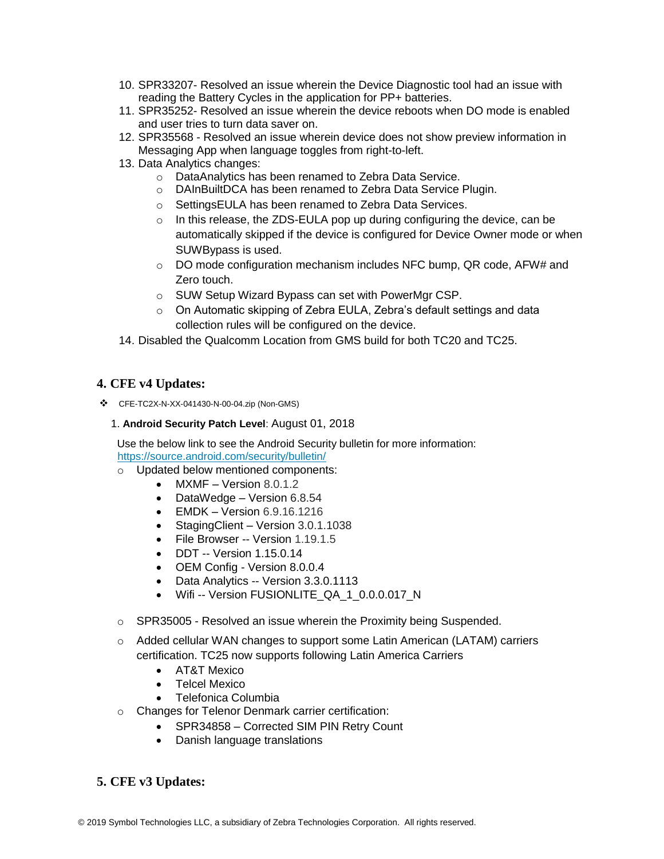- 10. SPR33207- Resolved an issue wherein the Device Diagnostic tool had an issue with reading the Battery Cycles in the application for PP+ batteries.
- 11. SPR35252- Resolved an issue wherein the device reboots when DO mode is enabled and user tries to turn data saver on.
- 12. SPR35568 Resolved an issue wherein device does not show preview information in Messaging App when language toggles from right-to-left.
- 13. Data Analytics changes:
	- o DataAnalytics has been renamed to Zebra Data Service.
	- o DAInBuiltDCA has been renamed to Zebra Data Service Plugin.
	- o SettingsEULA has been renamed to Zebra Data Services.
	- $\circ$  In this release, the ZDS-EULA pop up during configuring the device, can be automatically skipped if the device is configured for Device Owner mode or when SUWBypass is used.
	- $\circ$  DO mode configuration mechanism includes NFC bump, QR code, AFW# and Zero touch.
	- o SUW Setup Wizard Bypass can set with PowerMgr CSP.
	- o On Automatic skipping of Zebra EULA, Zebra's default settings and data collection rules will be configured on the device.
- 14. Disabled the Qualcomm Location from GMS build for both TC20 and TC25.

### **4. CFE v4 Updates:**

❖ CFE-TC2X-N-XX-041430-N-00-04.zip (Non-GMS)

#### 1. **Android Security Patch Level**: August 01, 2018

Use the below link to see the Android Security bulletin for more information: <https://source.android.com/security/bulletin/>

- o Updated below mentioned components:
	- $MXMF Version 8.0.1.2$
	- DataWedge Version 6.8.54
	- EMDK Version 6.9.16.1216
	- Staging Client Version 3.0.1.1038
	- File Browser -- Version 1.19.1.5
	- DDT -- Version 1.15.0.14
	- OEM Config Version 8.0.0.4
	- Data Analytics -- Version 3.3.0.1113
	- Wifi -- Version FUSIONLITE\_QA\_1\_0.0.0.017\_N
- o SPR35005 Resolved an issue wherein the Proximity being Suspended.
- $\circ$  Added cellular WAN changes to support some Latin American (LATAM) carriers certification. TC25 now supports following Latin America Carriers
	- AT&T Mexico
	- Telcel Mexico
	- Telefonica Columbia
- o Changes for Telenor Denmark carrier certification:
	- SPR34858 Corrected SIM PIN Retry Count
	- Danish language translations

### **5. CFE v3 Updates:**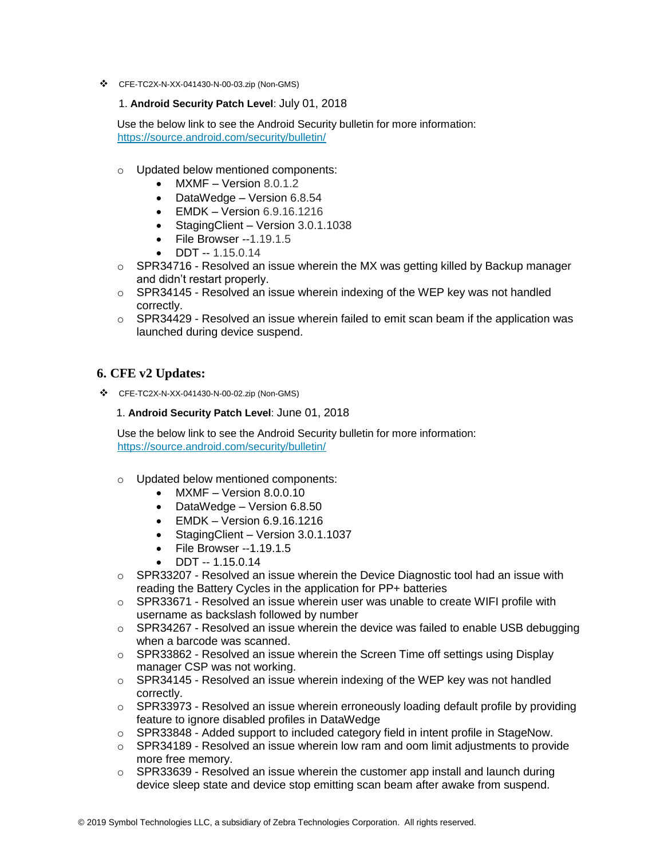❖ CFE-TC2X-N-XX-041430-N-00-03.zip (Non-GMS)

#### 1. **Android Security Patch Level**: July 01, 2018

Use the below link to see the Android Security bulletin for more information: <https://source.android.com/security/bulletin/>

- o Updated below mentioned components:
	- MXMF Version 8.0.1.2
	- DataWedge Version 6.8.54
	- $\bullet$  EMDK Version 6.9.16.1216
	- Staging Client Version 3.0.1.1038
	- File Browser -- 1.19.1.5
	- DDT -- 1.15.0.14
- $\circ$  SPR34716 Resolved an issue wherein the MX was getting killed by Backup manager and didn't restart properly.
- $\circ$  SPR34145 Resolved an issue wherein indexing of the WEP key was not handled correctly.
- $\circ$  SPR34429 Resolved an issue wherein failed to emit scan beam if the application was launched during device suspend.

### **6. CFE v2 Updates:**

❖ CFE-TC2X-N-XX-041430-N-00-02.zip (Non-GMS)

1. **Android Security Patch Level**: June 01, 2018

Use the below link to see the Android Security bulletin for more information: <https://source.android.com/security/bulletin/>

- o Updated below mentioned components:
	- MXMF Version 8.0.0.10
	- DataWedge Version 6.8.50
	- EMDK Version 6.9.16.1216
	- Staging Client Version 3.0.1.1037
	- File Browser --1.19.1.5
	- DDT -- 1.15.0.14
- $\circ$  SPR33207 Resolved an issue wherein the Device Diagnostic tool had an issue with reading the Battery Cycles in the application for PP+ batteries
- $\circ$  SPR33671 Resolved an issue wherein user was unable to create WIFI profile with username as backslash followed by number
- $\circ$  SPR34267 Resolved an issue wherein the device was failed to enable USB debugging when a barcode was scanned.
- $\circ$  SPR33862 Resolved an issue wherein the Screen Time off settings using Display manager CSP was not working.
- o SPR34145 Resolved an issue wherein indexing of the WEP key was not handled correctly.
- $\circ$  SPR33973 Resolved an issue wherein erroneously loading default profile by providing feature to ignore disabled profiles in DataWedge
- o SPR33848 Added support to included category field in intent profile in StageNow.
- o SPR34189 Resolved an issue wherein low ram and oom limit adjustments to provide more free memory.
- $\circ$  SPR33639 Resolved an issue wherein the customer app install and launch during device sleep state and device stop emitting scan beam after awake from suspend.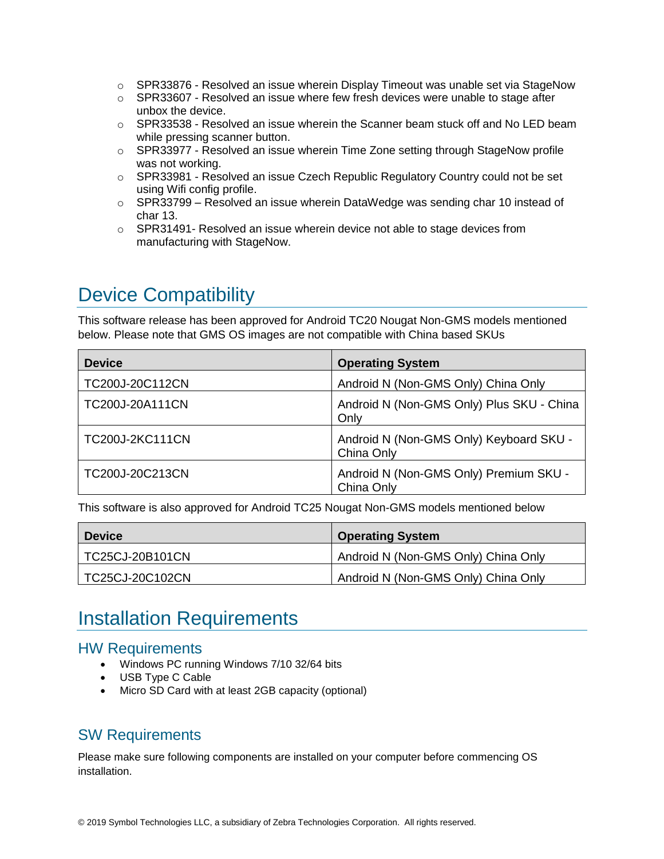- $\circ$  SPR33876 Resolved an issue wherein Display Timeout was unable set via StageNow
- $\circ$  SPR33607 Resolved an issue where few fresh devices were unable to stage after unbox the device.
- $\circ$  SPR33538 Resolved an issue wherein the Scanner beam stuck off and No LED beam while pressing scanner button.
- $\circ$  SPR33977 Resolved an issue wherein Time Zone setting through StageNow profile was not working.
- $\circ$  SPR33981 Resolved an issue Czech Republic Regulatory Country could not be set using Wifi config profile.
- o SPR33799 Resolved an issue wherein DataWedge was sending char 10 instead of char 13.
- $\circ$  SPR31491- Resolved an issue wherein device not able to stage devices from manufacturing with StageNow.

# <span id="page-6-0"></span>Device Compatibility

This software release has been approved for Android TC20 Nougat Non-GMS models mentioned below. Please note that GMS OS images are not compatible with China based SKUs

| <b>Device</b>   | <b>Operating System</b>                               |
|-----------------|-------------------------------------------------------|
| TC200J-20C112CN | Android N (Non-GMS Only) China Only                   |
| TC200J-20A111CN | Android N (Non-GMS Only) Plus SKU - China<br>Only     |
| TC200J-2KC111CN | Android N (Non-GMS Only) Keyboard SKU -<br>China Only |
| TC200J-20C213CN | Android N (Non-GMS Only) Premium SKU -<br>China Only  |

This software is also approved for Android TC25 Nougat Non-GMS models mentioned below

| <b>Device</b>   | <b>Operating System</b>             |
|-----------------|-------------------------------------|
| TC25CJ-20B101CN | Android N (Non-GMS Only) China Only |
| TC25CJ-20C102CN | Android N (Non-GMS Only) China Only |

# <span id="page-6-1"></span>Installation Requirements

## HW Requirements

- Windows PC running Windows 7/10 32/64 bits
- USB Type C Cable
- Micro SD Card with at least 2GB capacity (optional)

## SW Requirements

Please make sure following components are installed on your computer before commencing OS installation.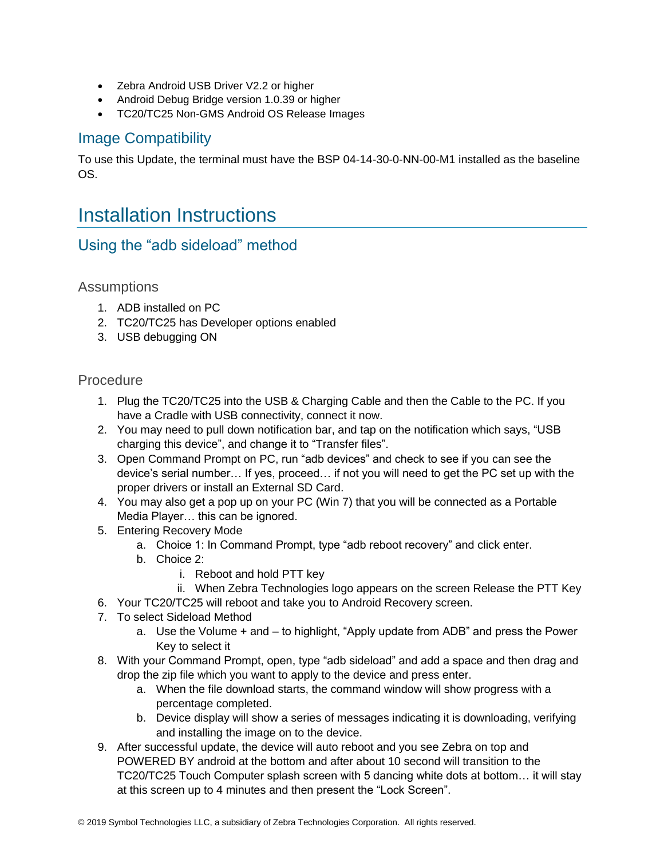- Zebra Android USB Driver V2.2 or higher
- Android Debug Bridge version 1.0.39 or higher
- TC20/TC25 Non-GMS Android OS Release Images

## Image Compatibility

To use this Update, the terminal must have the BSP 04-14-30-0-NN-00-M1 installed as the baseline OS.

# <span id="page-7-0"></span>Installation Instructions

## Using the "adb sideload" method

#### **Assumptions**

- 1. ADB installed on PC
- 2. TC20/TC25 has Developer options enabled
- 3. USB debugging ON

#### Procedure

- 1. Plug the TC20/TC25 into the USB & Charging Cable and then the Cable to the PC. If you have a Cradle with USB connectivity, connect it now.
- 2. You may need to pull down notification bar, and tap on the notification which says, "USB charging this device", and change it to "Transfer files".
- 3. Open Command Prompt on PC, run "adb devices" and check to see if you can see the device's serial number… If yes, proceed… if not you will need to get the PC set up with the proper drivers or install an External SD Card.
- 4. You may also get a pop up on your PC (Win 7) that you will be connected as a Portable Media Player… this can be ignored.
- 5. Entering Recovery Mode
	- a. Choice 1: In Command Prompt, type "adb reboot recovery" and click enter.
	- b. Choice 2:
		- i. Reboot and hold PTT key
	- ii. When Zebra Technologies logo appears on the screen Release the PTT Key
- 6. Your TC20/TC25 will reboot and take you to Android Recovery screen.
- 7. To select Sideload Method
	- a. Use the Volume + and to highlight, "Apply update from ADB" and press the Power Key to select it
- 8. With your Command Prompt, open, type "adb sideload" and add a space and then drag and drop the zip file which you want to apply to the device and press enter.
	- a. When the file download starts, the command window will show progress with a percentage completed.
	- b. Device display will show a series of messages indicating it is downloading, verifying and installing the image on to the device.
- 9. After successful update, the device will auto reboot and you see Zebra on top and POWERED BY android at the bottom and after about 10 second will transition to the TC20/TC25 Touch Computer splash screen with 5 dancing white dots at bottom… it will stay at this screen up to 4 minutes and then present the "Lock Screen".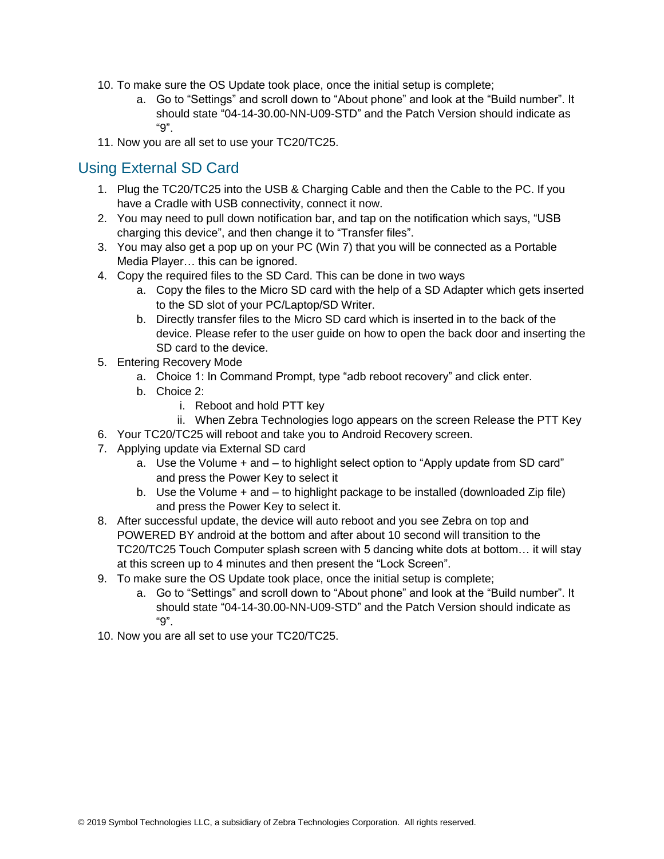- 10. To make sure the OS Update took place, once the initial setup is complete;
	- a. Go to "Settings" and scroll down to "About phone" and look at the "Build number". It should state "04-14-30.00-NN-U09-STD" and the Patch Version should indicate as "9".
- 11. Now you are all set to use your TC20/TC25.

## Using External SD Card

- 1. Plug the TC20/TC25 into the USB & Charging Cable and then the Cable to the PC. If you have a Cradle with USB connectivity, connect it now.
- 2. You may need to pull down notification bar, and tap on the notification which says, "USB charging this device", and then change it to "Transfer files".
- 3. You may also get a pop up on your PC (Win 7) that you will be connected as a Portable Media Player… this can be ignored.
- 4. Copy the required files to the SD Card. This can be done in two ways
	- a. Copy the files to the Micro SD card with the help of a SD Adapter which gets inserted to the SD slot of your PC/Laptop/SD Writer.
	- b. Directly transfer files to the Micro SD card which is inserted in to the back of the device. Please refer to the user guide on how to open the back door and inserting the SD card to the device.
- 5. Entering Recovery Mode
	- a. Choice 1: In Command Prompt, type "adb reboot recovery" and click enter.
	- b. Choice 2:
		- i. Reboot and hold PTT key
		- ii. When Zebra Technologies logo appears on the screen Release the PTT Key
- 6. Your TC20/TC25 will reboot and take you to Android Recovery screen.
- 7. Applying update via External SD card
	- a. Use the Volume + and to highlight select option to "Apply update from SD card" and press the Power Key to select it
	- b. Use the Volume + and to highlight package to be installed (downloaded Zip file) and press the Power Key to select it.
- 8. After successful update, the device will auto reboot and you see Zebra on top and POWERED BY android at the bottom and after about 10 second will transition to the TC20/TC25 Touch Computer splash screen with 5 dancing white dots at bottom… it will stay at this screen up to 4 minutes and then present the "Lock Screen".
- 9. To make sure the OS Update took place, once the initial setup is complete;
	- a. Go to "Settings" and scroll down to "About phone" and look at the "Build number". It should state "04-14-30.00-NN-U09-STD" and the Patch Version should indicate as "9".
- 10. Now you are all set to use your TC20/TC25.